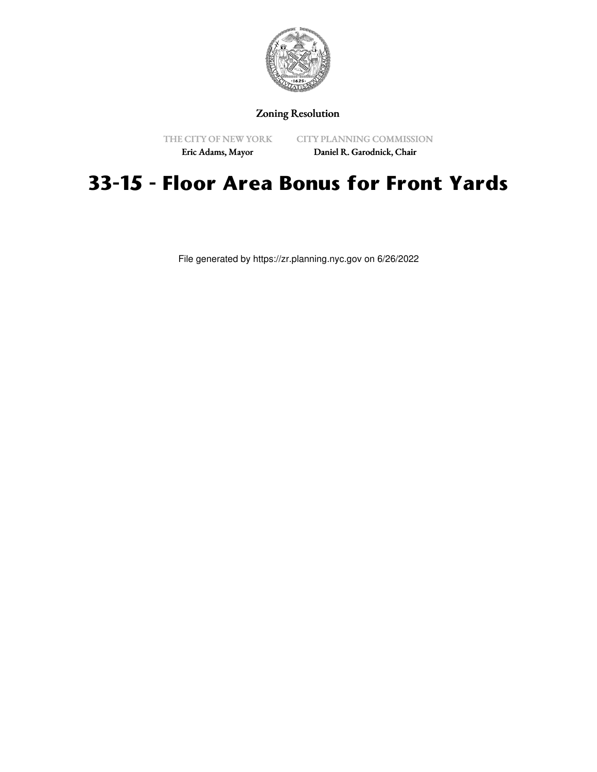

## Zoning Resolution

THE CITY OF NEW YORK Eric Adams, Mayor

CITY PLANNING COMMISSION

# Daniel R. Garodnick, Chair

# **33-15 - Floor Area Bonus for Front Yards**

File generated by https://zr.planning.nyc.gov on 6/26/2022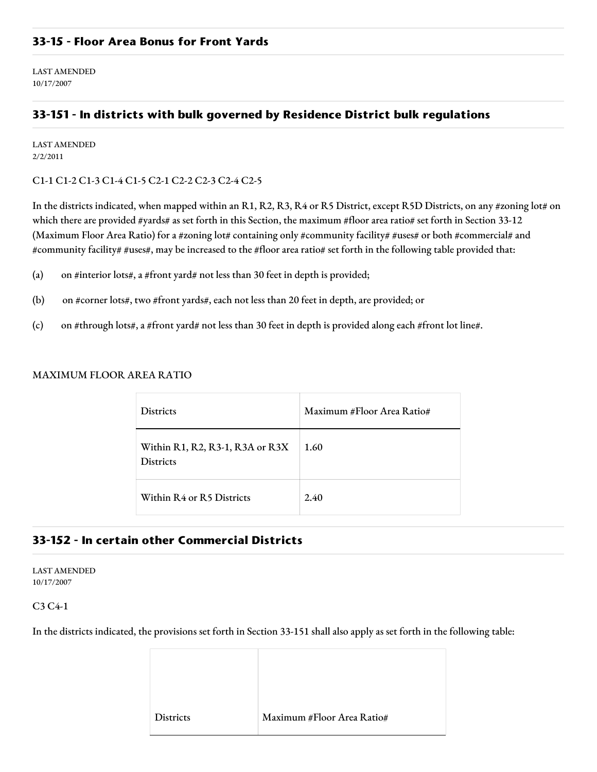LAST AMENDED 10/17/2007

# **33-151 - In districts with bulk governed by Residence District bulk regulations**

LAST AMENDED 2/2/2011

#### C1-1 C1-2 C1-3 C1-4 C1-5 C2-1 C2-2 C2-3 C2-4 C2-5

In the districts indicated, when mapped within an R1, R2, R3, R4 or R5 District, except R5D Districts, on any #zoning lot# on which there are provided #yards# as set forth in this Section, the maximum #floor area ratio# set forth in Section 33-12 (Maximum Floor Area Ratio) for a #zoning lot# containing only #community facility# #uses# or both #commercial# and #community facility# #uses#, may be increased to the #floor area ratio# set forth in the following table provided that:

- (a) on #interior lots#, a #front yard# not less than 30 feet in depth is provided;
- (b) on #corner lots#, two #front yards#, each not less than 20 feet in depth, are provided; or
- (c) on #through lots#, a #front yard# not less than 30 feet in depth is provided along each #front lot line#.

#### MAXIMUM FLOOR AREA RATIO

| <b>Districts</b>                                    | Maximum #Floor Area Ratio# |
|-----------------------------------------------------|----------------------------|
| Within R1, R2, R3-1, R3A or R3X<br><b>Districts</b> | 1.60                       |
| Within R4 or R5 Districts                           | 2.40                       |

## **33-152 - In certain other Commercial Districts**

LAST AMENDED 10/17/2007

### C3 C4-1

In the districts indicated, the provisions set forth in Section 33-151 shall also apply as set forth in the following table:

| <b>Districts</b> | Maximum #Floor Area Ratio# |
|------------------|----------------------------|